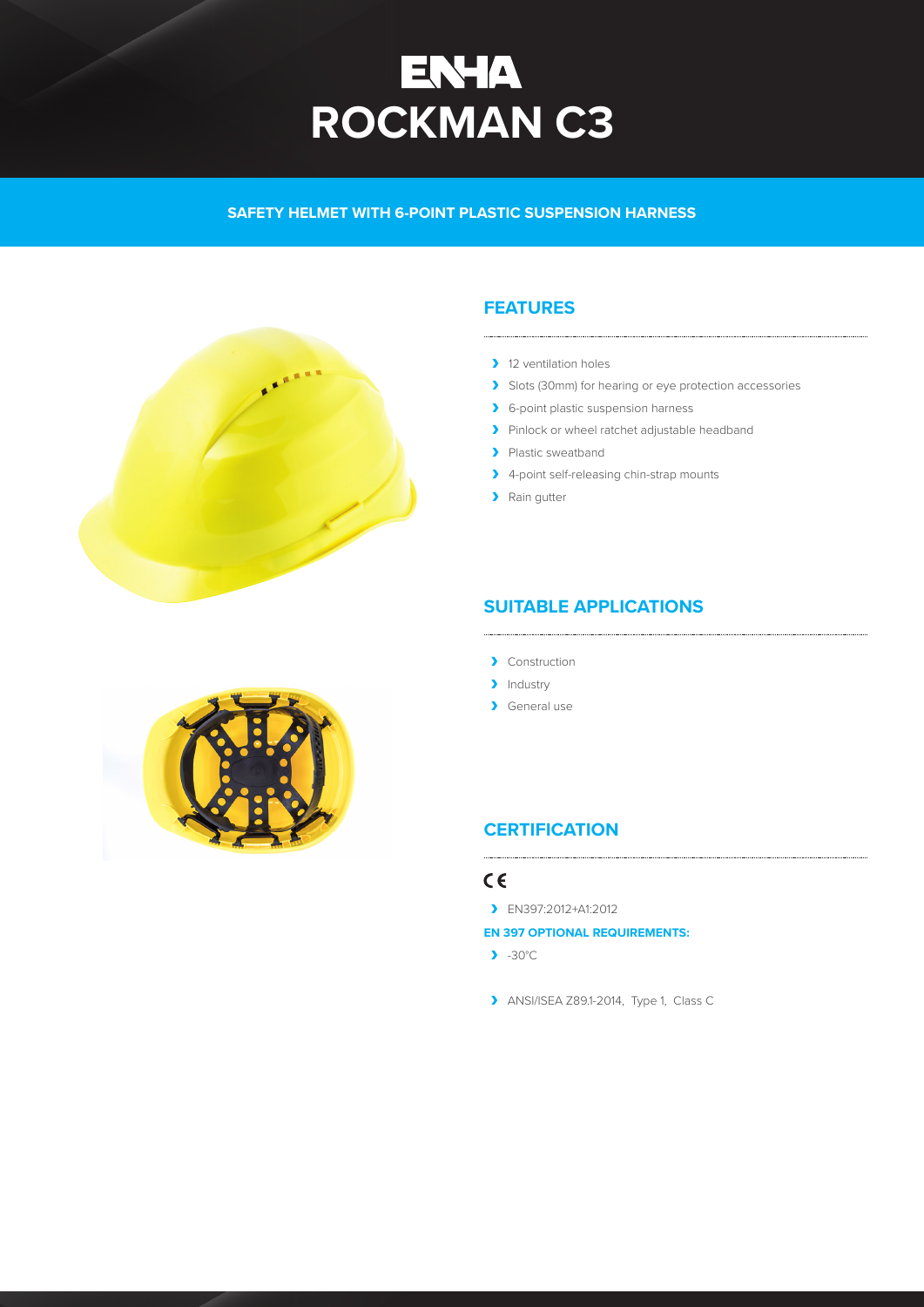# **ENHA<br>ROCKMAN C3**

**SAFETY HELMET WITH 6-POINT PLASTIC SUSPENSION HARNESS** 



# **FEATURES**

- > 12 ventilation holes
- > Slots (30mm) for hearing or eye protection accessories
- > 6-point plastic suspension harness
- A Pinlock or wheel ratchet adjustable headband
- > Plastic sweatband
- > 4-point self-releasing chin-strap mounts
- > Rain gutter

# **SUITABLE APPLICATIONS**

- **A** Construction
- > Industry
- A General use

# **CERTIFICATION**

## $C \in$

A EN397:2012+A1:2012

## **EN 397 OPTIONAL REQUIREMENTS:**

- $\blacktriangleright$  -30°C
- ANSI/ISEA Z89.1-2014, Type 1, Class C